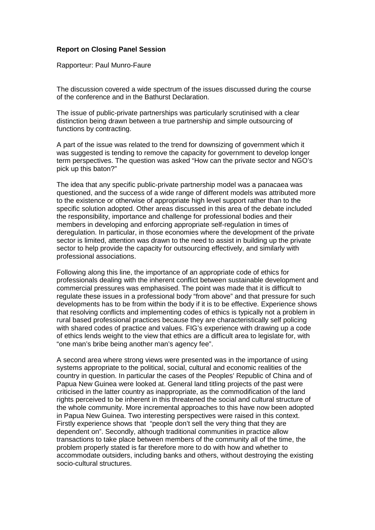## **Report on Closing Panel Session**

Rapporteur: Paul Munro-Faure

The discussion covered a wide spectrum of the issues discussed during the course of the conference and in the Bathurst Declaration.

The issue of public-private partnerships was particularly scrutinised with a clear distinction being drawn between a true partnership and simple outsourcing of functions by contracting.

A part of the issue was related to the trend for downsizing of government which it was suggested is tending to remove the capacity for government to develop longer term perspectives. The question was asked "How can the private sector and NGO's pick up this baton?"

The idea that any specific public-private partnership model was a panacaea was questioned, and the success of a wide range of different models was attributed more to the existence or otherwise of appropriate high level support rather than to the specific solution adopted. Other areas discussed in this area of the debate included the responsibility, importance and challenge for professional bodies and their members in developing and enforcing appropriate self-regulation in times of deregulation. In particular, in those economies where the development of the private sector is limited, attention was drawn to the need to assist in building up the private sector to help provide the capacity for outsourcing effectively, and similarly with professional associations.

Following along this line, the importance of an appropriate code of ethics for professionals dealing with the inherent conflict between sustainable development and commercial pressures was emphasised. The point was made that it is difficult to regulate these issues in a professional body "from above" and that pressure for such developments has to be from within the body if it is to be effective. Experience shows that resolving conflicts and implementing codes of ethics is typically not a problem in rural based professional practices because they are characteristically self policing with shared codes of practice and values. FIG's experience with drawing up a code of ethics lends weight to the view that ethics are a difficult area to legislate for, with "one man's bribe being another man's agency fee".

A second area where strong views were presented was in the importance of using systems appropriate to the political, social, cultural and economic realities of the country in question. In particular the cases of the Peoples' Republic of China and of Papua New Guinea were looked at. General land titling projects of the past were criticised in the latter country as inappropriate, as the commodification of the land rights perceived to be inherent in this threatened the social and cultural structure of the whole community. More incremental approaches to this have now been adopted in Papua New Guinea. Two interesting perspectives were raised in this context. Firstly experience shows that "people don't sell the very thing that they are dependent on". Secondly, although traditional communities in practice allow transactions to take place between members of the community all of the time, the problem properly stated is far therefore more to do with how and whether to accommodate outsiders, including banks and others, without destroying the existing socio-cultural structures.